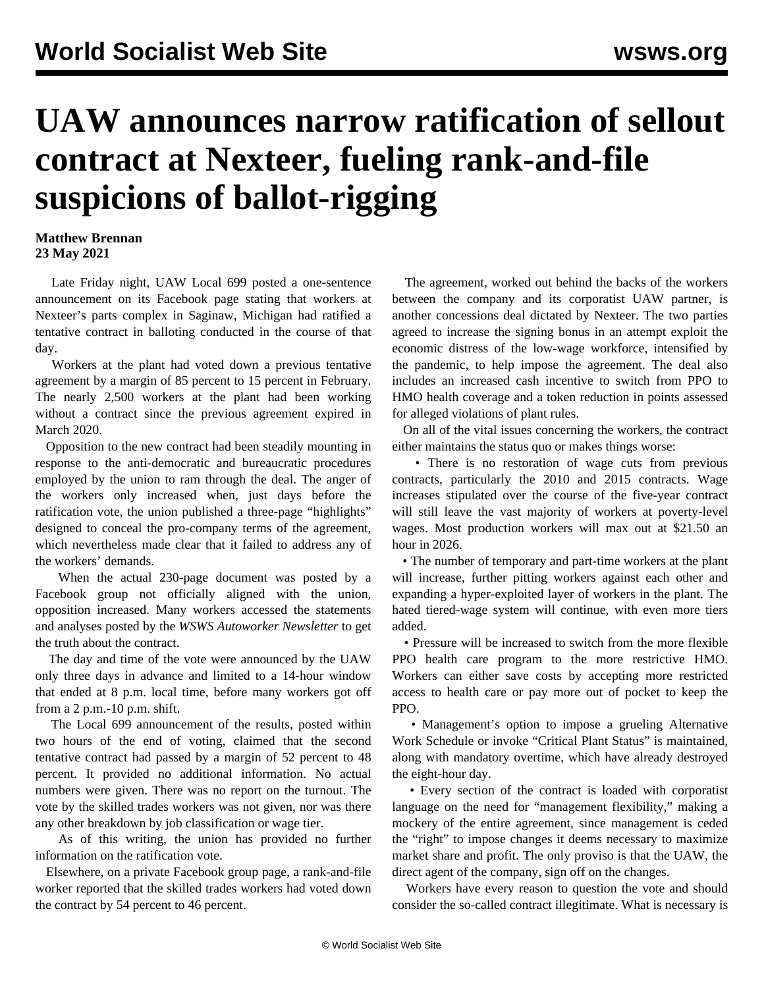## **UAW announces narrow ratification of sellout contract at Nexteer, fueling rank-and-file suspicions of ballot-rigging**

## **Matthew Brennan 23 May 2021**

 Late Friday night, UAW Local 699 posted a one-sentence announcement on its Facebook page stating that workers at Nexteer's parts complex in Saginaw, Michigan had ratified a tentative contract in balloting conducted in the course of that day.

 Workers at the plant had voted down a previous tentative agreement by a margin of 85 percent to 15 percent in February. The nearly 2,500 workers at the plant had been working without a contract since the previous agreement expired in March 2020.

 Opposition to the new contract had been steadily mounting in response to the anti-democratic and bureaucratic procedures employed by the union to ram through the deal. The anger of the workers only increased when, just days before the ratification vote, the union published a three-page "highlights" designed to conceal the pro-company terms of the agreement, which nevertheless made clear that it failed to address any of the workers' demands.

 When the actual 230-page document was posted by a Facebook group not officially aligned with the union, opposition increased. Many workers accessed the statements and analyses posted by the *WSWS Autoworker Newsletter* to get the truth about the contract.

 The day and time of the vote were announced by the UAW only three days in advance and limited to a 14-hour window that ended at 8 p.m. local time, before many workers got off from a 2 p.m.-10 p.m. shift.

 The Local 699 announcement of the results, posted within two hours of the end of voting, claimed that the second tentative contract had passed by a margin of 52 percent to 48 percent. It provided no additional information. No actual numbers were given. There was no report on the turnout. The vote by the skilled trades workers was not given, nor was there any other breakdown by job classification or wage tier.

 As of this writing, the union has provided no further information on the ratification vote.

 Elsewhere, on a private Facebook group page, a rank-and-file worker reported that the skilled trades workers had voted down the contract by 54 percent to 46 percent.

 The agreement, worked out behind the backs of the workers between the company and its corporatist UAW partner, is another concessions deal dictated by Nexteer. The two parties agreed to increase the signing bonus in an attempt exploit the economic distress of the low-wage workforce, intensified by the pandemic, to help impose the agreement. The deal also includes an increased cash incentive to switch from PPO to HMO health coverage and a token reduction in points assessed for alleged violations of plant rules.

 On all of the vital issues concerning the workers, the contract either maintains the status quo or makes things worse:

 • There is no restoration of wage cuts from previous contracts, particularly the 2010 and 2015 contracts. Wage increases stipulated over the course of the five-year contract will still leave the vast majority of workers at poverty-level wages. Most production workers will max out at \$21.50 an hour in 2026.

 • The number of temporary and part-time workers at the plant will increase, further pitting workers against each other and expanding a hyper-exploited layer of workers in the plant. The hated tiered-wage system will continue, with even more tiers added.

 • Pressure will be increased to switch from the more flexible PPO health care program to the more restrictive HMO. Workers can either save costs by accepting more restricted access to health care or pay more out of pocket to keep the PPO.

 • Management's option to impose a grueling Alternative Work Schedule or invoke "Critical Plant Status" is maintained, along with mandatory overtime, which have already destroyed the eight-hour day.

 • Every section of the contract is loaded with corporatist language on the need for "management flexibility," making a mockery of the entire agreement, since management is ceded the "right" to impose changes it deems necessary to maximize market share and profit. The only proviso is that the UAW, the direct agent of the company, sign off on the changes.

 Workers have every reason to question the vote and should consider the so-called contract illegitimate. What is necessary is